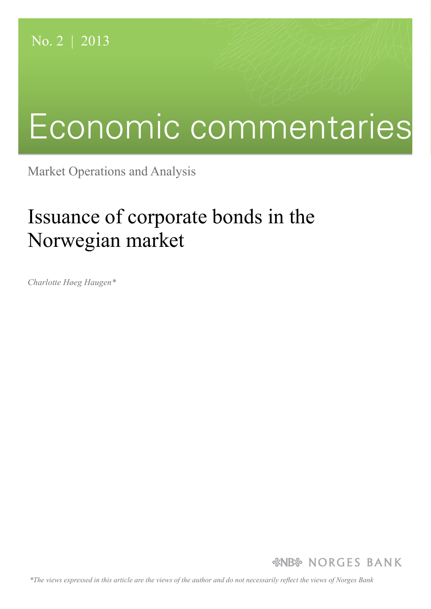# Economic commentaries

Market Operations and Analysis

# Issuance of corporate bonds in the Norwegian market

*Charlotte Høeg Haugen\**

*&NB* NORGES BANK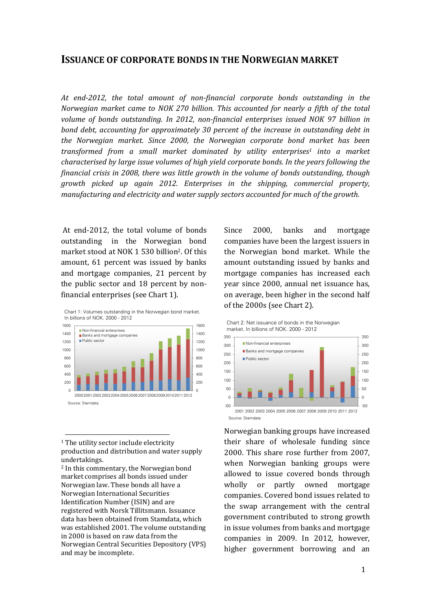### **ISSUANCE OF CORPORATE BONDS IN THE NORWEGIAN MARKET**

*At end-2012, the total amount of non-financial corporate bonds outstanding in the Norwegian market came to NOK 270 billion. This accounted for nearly a fifth of the total volume of bonds outstanding. In 2012, non-financial enterprises issued NOK 97 billion in bond debt, accounting for approximately 30 percent of the increase in outstanding debt in the Norwegian market. Since 2000, the Norwegian corporate bond market has been transformed from a small market dominated by utility enterprises<sup>1</sup> into a market characterised by large issue volumes of high yield corporate bonds. In the years following the financial crisis in 2008, there was little growth in the volume of bonds outstanding, though growth picked up again 2012. Enterprises in the shipping, commercial property, manufacturing and electricity and water supply sectors accounted for much of the growth.* 

At end-2012, the total volume of bonds outstanding in the Norwegian bond market stood at NOK 1 530 billion2. Of this amount, 61 percent was issued by banks and mortgage companies, 21 percent by the public sector and 18 percent by nonfinancial enterprises (see Chart 1).



<sup>1</sup> The utility sector include electricity production and distribution and water supply undertakings.

 $\overline{a}$ 

<sup>2</sup> In this commentary, the Norwegian bond market comprises all bonds issued under Norwegian law. These bonds all have a Norwegian International Securities Identification Number (ISIN) and are registered with Norsk Tillitsmann. Issuance data has been obtained from Stamdata, which was established 2001. The volume outstanding in 2000 is based on raw data from the Norwegian Central Securities Depository (VPS) and may be incomplete.

Since 2000, banks and mortgage companies have been the largest issuers in the Norwegian bond market. While the amount outstanding issued by banks and mortgage companies has increased each year since 2000, annual net issuance has, on average, been higher in the second half of the 2000s (see Chart 2).

Chart 2: Net issuance of bonds in the Norwegian market. In billions of NOK. 2000 - 2012



Norwegian banking groups have increased their share of wholesale funding since 2000. This share rose further from 2007, when Norwegian banking groups were allowed to issue covered bonds through wholly or partly owned mortgage companies. Covered bond issues related to the swap arrangement with the central government contributed to strong growth in issue volumes from banks and mortgage companies in 2009. In 2012, however, higher government borrowing and an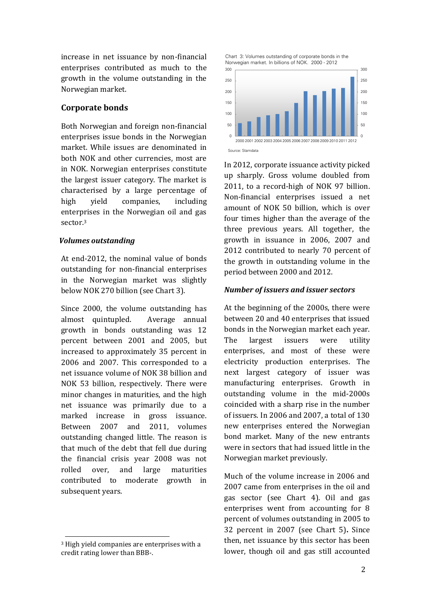increase in net issuance by non-financial enterprises contributed as much to the growth in the volume outstanding in the Norwegian market.

#### **Corporate bonds**

Both Norwegian and foreign non-financial enterprises issue bonds in the Norwegian market. While issues are denominated in both NOK and other currencies, most are in NOK. Norwegian enterprises constitute the largest issuer category. The market is characterised by a large percentage of high yield companies, including enterprises in the Norwegian oil and gas sector.<sup>3</sup>

#### *Volumes outstanding*

At end-2012, the nominal value of bonds outstanding for non-financial enterprises in the Norwegian market was slightly below NOK 270 billion (see Chart 3).

Since 2000, the volume outstanding has almost quintupled. Average annual growth in bonds outstanding was 12 percent between 2001 and 2005, but increased to approximately 35 percent in 2006 and 2007. This corresponded to a net issuance volume of NOK 38 billion and NOK 53 billion, respectively. There were minor changes in maturities, and the high net issuance was primarily due to a marked increase in gross issuance. Between 2007 and 2011, volumes outstanding changed little. The reason is that much of the debt that fell due during the financial crisis year 2008 was not rolled over, and large maturities contributed to moderate growth in subsequent years.

 $\overline{\phantom{0}}$ 





In 2012, corporate issuance activity picked up sharply. Gross volume doubled from 2011, to a record-high of NOK 97 billion. Non-financial enterprises issued a net amount of NOK 50 billion, which is over four times higher than the average of the three previous years. All together, the growth in issuance in 2006, 2007 and 2012 contributed to nearly 70 percent of the growth in outstanding volume in the period between 2000 and 2012.

#### *Number of issuers and issuer sectors*

At the beginning of the 2000s, there were between 20 and 40 enterprises that issued bonds in the Norwegian market each year. The largest issuers were utility enterprises, and most of these were electricity production enterprises. The next largest category of issuer was manufacturing enterprises. Growth in outstanding volume in the mid-2000s coincided with a sharp rise in the number of issuers. In 2006 and 2007, a total of 130 new enterprises entered the Norwegian bond market. Many of the new entrants were in sectors that had issued little in the Norwegian market previously.

Much of the volume increase in 2006 and 2007 came from enterprises in the oil and gas sector (see Chart 4). Oil and gas enterprises went from accounting for 8 percent of volumes outstanding in 2005 to 32 percent in 2007 (see Chart 5)**.** Since then, net issuance by this sector has been lower, though oil and gas still accounted

<sup>3</sup> High yield companies are enterprises with a credit rating lower than BBB-.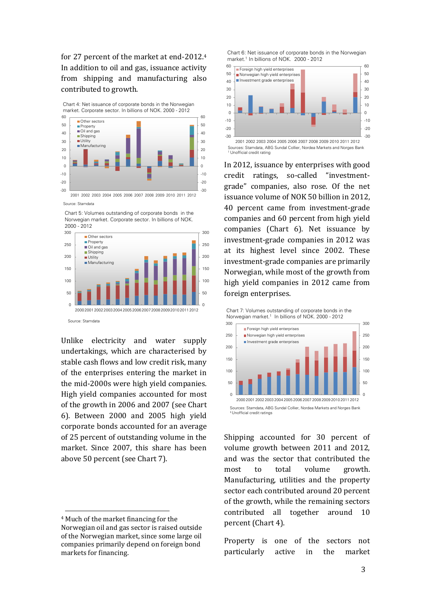for 27 percent of the market at end-2012.<sup>4</sup> In addition to oil and gas, issuance activity from shipping and manufacturing also contributed to growth.

-20 -10 0 10 20 30  $40$ 50 60 -20 -10 0 10 20 30  $40$ 50 60 Other sectors **Property** Oil and gas ■ Shipping **Utility** Manufacturing Chart 4: Net issuance of corporate bonds in the Norwegian market. Corporate sector. In billions of NOK. 2000 - <sup>2012</sup>

2001 2002 2003 2004 2005 2006 2007 2008 2009 2010 2011 2012 Source: Stamdata

-30

Chart 5: Volumes outstanding of corporate bonds in the Norwegian market. Corporate sector. In billions of NOK.

-30



Unlike electricity and water supply undertakings, which are characterised by stable cash flows and low credit risk, many of the enterprises entering the market in the mid-2000s were high yield companies. High yield companies accounted for most of the growth in 2006 and 2007 (see Chart 6). Between 2000 and 2005 high yield corporate bonds accounted for an average of 25 percent of outstanding volume in the market. Since 2007, this share has been above 50 percent (see Chart 7).

l

Chart 6: Net issuance of corporate bonds in the Norwegian market.<sup>1</sup> In billions of NOK. 2000 - 2012



In 2012, issuance by enterprises with good credit ratings, so-called "investmentgrade" companies, also rose. Of the net issuance volume of NOK 50 billion in 2012, 40 percent came from investment-grade companies and 60 percent from high yield companies (Chart 6). Net issuance by investment-grade companies in 2012 was at its highest level since 2002. These investment-grade companies are primarily Norwegian, while most of the growth from high yield companies in 2012 came from foreign enterprises.



Shipping accounted for 30 percent of volume growth between 2011 and 2012, and was the sector that contributed the most to total volume growth. Manufacturing, utilities and the property sector each contributed around 20 percent of the growth, while the remaining sectors contributed all together around 10 percent (Chart 4).

Property is one of the sectors not particularly active in the market

<sup>4</sup> Much of the market financing for the Norwegian oil and gas sector is raised outside of the Norwegian market, since some large oil companies primarily depend on foreign bond markets for financing.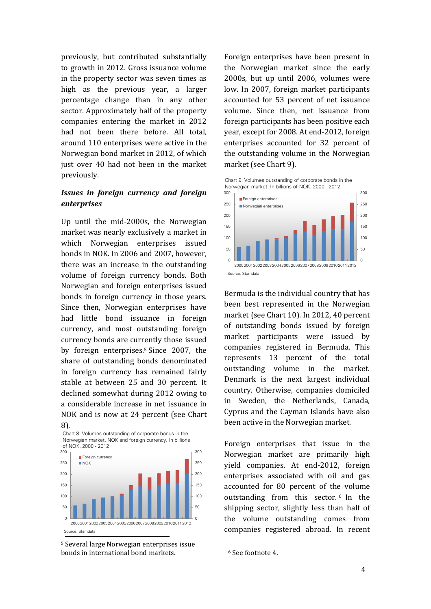previously, but contributed substantially to growth in 2012. Gross issuance volume in the property sector was seven times as high as the previous year, a larger percentage change than in any other sector. Approximately half of the property companies entering the market in 2012 had not been there before. All total, around 110 enterprises were active in the Norwegian bond market in 2012, of which just over 40 had not been in the market previously.

#### *Issues in foreign currency and foreign enterprises*

Up until the mid-2000s, the Norwegian market was nearly exclusively a market in which Norwegian enterprises issued bonds in NOK. In 2006 and 2007, however, there was an increase in the outstanding volume of foreign currency bonds. Both Norwegian and foreign enterprises issued bonds in foreign currency in those years. Since then, Norwegian enterprises have had little bond issuance in foreign currency, and most outstanding foreign currency bonds are currently those issued by foreign enterprises.<sup>5</sup> Since 2007, the share of outstanding bonds denominated in foreign currency has remained fairly stable at between 25 and 30 percent. It declined somewhat during 2012 owing to a considerable increase in net issuance in NOK and is now at 24 percent (see Chart 8).





<sup>5</sup> Several large Norwegian enterprises issue bonds in international bond markets.

Foreign enterprises have been present in the Norwegian market since the early 2000s, but up until 2006, volumes were low. In 2007, foreign market participants accounted for 53 percent of net issuance volume. Since then, net issuance from foreign participants has been positive each year, except for 2008. At end-2012, foreign enterprises accounted for 32 percent of the outstanding volume in the Norwegian market (see Chart 9).

Chart 9: Volumes outstanding of corporate bonds in the Norwegian market. In billions of NOK. 2000 - <sup>2012</sup>



Bermuda is the individual country that has been best represented in the Norwegian market (see Chart 10). In 2012, 40 percent of outstanding bonds issued by foreign market participants were issued by companies registered in Bermuda. This represents 13 percent of the total outstanding volume in the market. Denmark is the next largest individual country. Otherwise, companies domiciled in Sweden, the Netherlands, Canada, Cyprus and the Cayman Islands have also been active in the Norwegian market.

Foreign enterprises that issue in the Norwegian market are primarily high yield companies. At end-2012, foreign enterprises associated with oil and gas accounted for 80 percent of the volume outstanding from this sector. <sup>6</sup> In the shipping sector, slightly less than half of the volume outstanding comes from companies registered abroad*.* In recent

l

<sup>6</sup> See footnote 4.